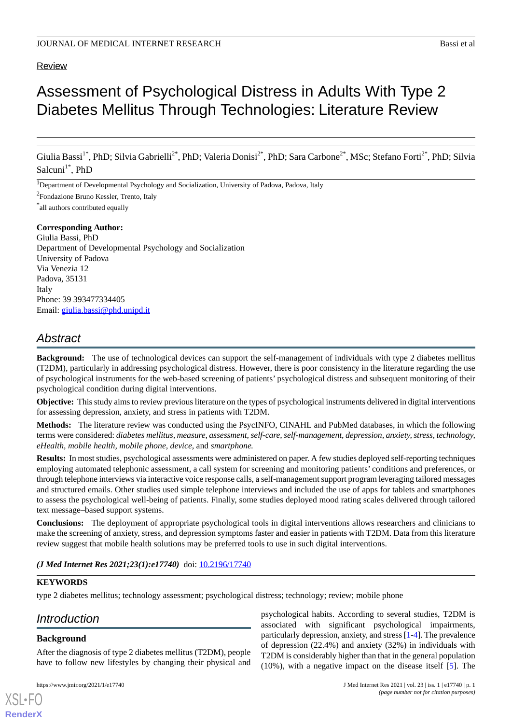# Review

# Assessment of Psychological Distress in Adults With Type 2 Diabetes Mellitus Through Technologies: Literature Review

Giulia Bassi<sup>1\*</sup>, PhD; Silvia Gabrielli<sup>2\*</sup>, PhD; Valeria Donisi<sup>2\*</sup>, PhD; Sara Carbone<sup>2\*</sup>, MSc; Stefano Forti<sup>2\*</sup>, PhD; Silvia Salcuni<sup>1\*</sup>, PhD

<sup>1</sup>Department of Developmental Psychology and Socialization, University of Padova, Padova, Italy

<sup>2</sup>Fondazione Bruno Kessler, Trento, Italy

\* all authors contributed equally

### **Corresponding Author:**

Giulia Bassi, PhD Department of Developmental Psychology and Socialization University of Padova Via Venezia 12 Padova, 35131 Italy Phone: 39 393477334405 Email: [giulia.bassi@phd.unipd.it](mailto:giulia.bassi@phd.unipd.it)

# *Abstract*

**Background:** The use of technological devices can support the self-management of individuals with type 2 diabetes mellitus (T2DM), particularly in addressing psychological distress. However, there is poor consistency in the literature regarding the use of psychological instruments for the web-based screening of patients' psychological distress and subsequent monitoring of their psychological condition during digital interventions.

**Objective:** This study aims to review previous literature on the types of psychological instruments delivered in digital interventions for assessing depression, anxiety, and stress in patients with T2DM.

**Methods:** The literature review was conducted using the PsycINFO, CINAHL and PubMed databases, in which the following terms were considered: *diabetes mellitus, measure, assessment, self-care, self-management, depression, anxiety, stress, technology, eHealth, mobile health, mobile phone, device,* and *smartphone.*

**Results:** In most studies, psychological assessments were administered on paper. A few studies deployed self-reporting techniques employing automated telephonic assessment, a call system for screening and monitoring patients' conditions and preferences, or through telephone interviews via interactive voice response calls, a self-management support program leveraging tailored messages and structured emails. Other studies used simple telephone interviews and included the use of apps for tablets and smartphones to assess the psychological well-being of patients. Finally, some studies deployed mood rating scales delivered through tailored text message–based support systems.

**Conclusions:** The deployment of appropriate psychological tools in digital interventions allows researchers and clinicians to make the screening of anxiety, stress, and depression symptoms faster and easier in patients with T2DM. Data from this literature review suggest that mobile health solutions may be preferred tools to use in such digital interventions.

# *(J Med Internet Res 2021;23(1):e17740)* doi:  $10.2196/17740$

# **KEYWORDS**

type 2 diabetes mellitus; technology assessment; psychological distress; technology; review; mobile phone

# *Introduction*

# **Background**

[XSL](http://www.w3.org/Style/XSL)•FO **[RenderX](http://www.renderx.com/)**

After the diagnosis of type 2 diabetes mellitus (T2DM), people have to follow new lifestyles by changing their physical and

psychological habits. According to several studies, T2DM is associated with significant psychological impairments, particularly depression, anxiety, and stress [[1-](#page-7-0)[4\]](#page-7-1). The prevalence of depression (22.4%) and anxiety (32%) in individuals with T2DM is considerably higher than that in the general population (10%), with a negative impact on the disease itself [[5\]](#page-7-2). The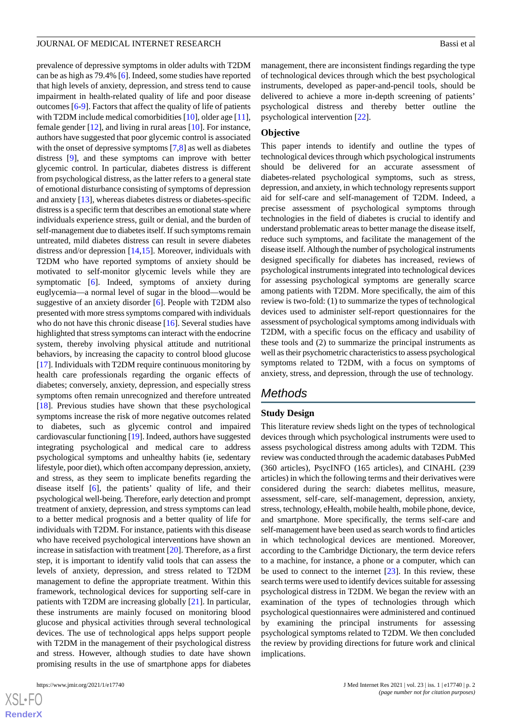prevalence of depressive symptoms in older adults with T2DM can be as high as 79.4% [[6\]](#page-8-0). Indeed, some studies have reported that high levels of anxiety, depression, and stress tend to cause impairment in health-related quality of life and poor disease outcomes [\[6](#page-8-0)-[9\]](#page-8-1). Factors that affect the quality of life of patients with T2DM include medical comorbidities [\[10](#page-8-2)], older age [[11\]](#page-8-3), female gender [[12\]](#page-8-4), and living in rural areas [\[10](#page-8-2)]. For instance, authors have suggested that poor glycemic control is associated with the onset of depressive symptoms [[7](#page-8-5)[,8](#page-8-6)] as well as diabetes distress [\[9](#page-8-1)], and these symptoms can improve with better glycemic control. In particular, diabetes distress is different from psychological distress, as the latter refers to a general state of emotional disturbance consisting of symptoms of depression and anxiety [\[13](#page-8-7)], whereas diabetes distress or diabetes-specific distress is a specific term that describes an emotional state where individuals experience stress, guilt or denial, and the burden of self-management due to diabetes itself. If such symptoms remain untreated, mild diabetes distress can result in severe diabetes distress and/or depression [\[14](#page-8-8),[15\]](#page-8-9). Moreover, individuals with T2DM who have reported symptoms of anxiety should be motivated to self-monitor glycemic levels while they are symptomatic [[6\]](#page-8-0). Indeed, symptoms of anxiety during euglycemia—a normal level of sugar in the blood—would be suggestive of an anxiety disorder [\[6](#page-8-0)]. People with T2DM also presented with more stress symptoms compared with individuals who do not have this chronic disease [\[16](#page-8-10)]. Several studies have highlighted that stress symptoms can interact with the endocrine system, thereby involving physical attitude and nutritional behaviors, by increasing the capacity to control blood glucose [[17\]](#page-8-11). Individuals with T2DM require continuous monitoring by health care professionals regarding the organic effects of diabetes; conversely, anxiety, depression, and especially stress symptoms often remain unrecognized and therefore untreated [[18\]](#page-8-12). Previous studies have shown that these psychological symptoms increase the risk of more negative outcomes related to diabetes, such as glycemic control and impaired cardiovascular functioning [\[19](#page-8-13)]. Indeed, authors have suggested integrating psychological and medical care to address psychological symptoms and unhealthy habits (ie, sedentary lifestyle, poor diet), which often accompany depression, anxiety, and stress, as they seem to implicate benefits regarding the disease itself [\[6](#page-8-0)], the patients' quality of life, and their psychological well-being. Therefore, early detection and prompt treatment of anxiety, depression, and stress symptoms can lead to a better medical prognosis and a better quality of life for individuals with T2DM. For instance, patients with this disease who have received psychological interventions have shown an increase in satisfaction with treatment [\[20](#page-8-14)]. Therefore, as a first step, it is important to identify valid tools that can assess the levels of anxiety, depression, and stress related to T2DM management to define the appropriate treatment. Within this framework, technological devices for supporting self-care in patients with T2DM are increasing globally [\[21](#page-8-15)]. In particular, these instruments are mainly focused on monitoring blood glucose and physical activities through several technological devices. The use of technological apps helps support people with T2DM in the management of their psychological distress and stress. However, although studies to date have shown promising results in the use of smartphone apps for diabetes

 $XS$ -FO **[RenderX](http://www.renderx.com/)** management, there are inconsistent findings regarding the type of technological devices through which the best psychological instruments, developed as paper-and-pencil tools, should be delivered to achieve a more in-depth screening of patients' psychological distress and thereby better outline the psychological intervention [[22\]](#page-8-16).

### **Objective**

This paper intends to identify and outline the types of technological devices through which psychological instruments should be delivered for an accurate assessment of diabetes-related psychological symptoms, such as stress, depression, and anxiety, in which technology represents support aid for self-care and self-management of T2DM. Indeed, a precise assessment of psychological symptoms through technologies in the field of diabetes is crucial to identify and understand problematic areas to better manage the disease itself, reduce such symptoms, and facilitate the management of the disease itself. Although the number of psychological instruments designed specifically for diabetes has increased, reviews of psychological instruments integrated into technological devices for assessing psychological symptoms are generally scarce among patients with T2DM. More specifically, the aim of this review is two-fold: (1) to summarize the types of technological devices used to administer self-report questionnaires for the assessment of psychological symptoms among individuals with T2DM, with a specific focus on the efficacy and usability of these tools and (2) to summarize the principal instruments as well as their psychometric characteristics to assess psychological symptoms related to T2DM, with a focus on symptoms of anxiety, stress, and depression, through the use of technology.

# *Methods*

# **Study Design**

This literature review sheds light on the types of technological devices through which psychological instruments were used to assess psychological distress among adults with T2DM. This review was conducted through the academic databases PubMed (360 articles), PsycINFO (165 articles), and CINAHL (239 articles) in which the following terms and their derivatives were considered during the search: diabetes mellitus, measure, assessment, self-care, self-management, depression, anxiety, stress, technology, eHealth, mobile health, mobile phone, device, and smartphone. More specifically, the terms self-care and self-management have been used as search words to find articles in which technological devices are mentioned. Moreover, according to the Cambridge Dictionary, the term device refers to a machine, for instance, a phone or a computer, which can be used to connect to the internet  $[23]$  $[23]$ . In this review, these search terms were used to identify devices suitable for assessing psychological distress in T2DM. We began the review with an examination of the types of technologies through which psychological questionnaires were administered and continued by examining the principal instruments for assessing psychological symptoms related to T2DM. We then concluded the review by providing directions for future work and clinical implications.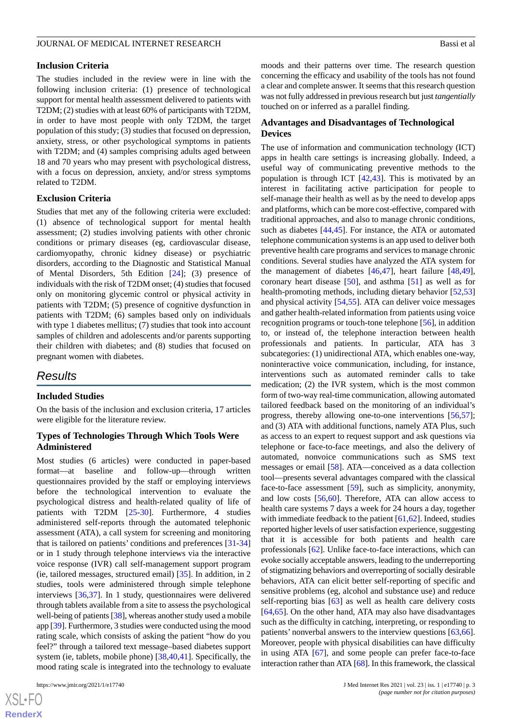# **Inclusion Criteria**

The studies included in the review were in line with the following inclusion criteria: (1) presence of technological support for mental health assessment delivered to patients with T2DM; (2) studies with at least 60% of participants with T2DM, in order to have most people with only T2DM, the target population of this study; (3) studies that focused on depression, anxiety, stress, or other psychological symptoms in patients with T2DM; and (4) samples comprising adults aged between 18 and 70 years who may present with psychological distress, with a focus on depression, anxiety, and/or stress symptoms related to T2DM.

### **Exclusion Criteria**

Studies that met any of the following criteria were excluded: (1) absence of technological support for mental health assessment; (2) studies involving patients with other chronic conditions or primary diseases (eg, cardiovascular disease, cardiomyopathy, chronic kidney disease) or psychiatric disorders, according to the Diagnostic and Statistical Manual of Mental Disorders, 5th Edition [\[24](#page-8-18)]; (3) presence of individuals with the risk of T2DM onset; (4) studies that focused only on monitoring glycemic control or physical activity in patients with T2DM; (5) presence of cognitive dysfunction in patients with T2DM; (6) samples based only on individuals with type 1 diabetes mellitus; (7) studies that took into account samples of children and adolescents and/or parents supporting their children with diabetes; and (8) studies that focused on pregnant women with diabetes.

# *Results*

### **Included Studies**

On the basis of the inclusion and exclusion criteria, 17 articles were eligible for the literature review.

# **Types of Technologies Through Which Tools Were Administered**

Most studies (6 articles) were conducted in paper-based format—at baseline and follow-up—through written questionnaires provided by the staff or employing interviews before the technological intervention to evaluate the psychological distress and health-related quality of life of patients with T2DM [[25-](#page-8-19)[30\]](#page-9-0). Furthermore, 4 studies administered self-reports through the automated telephonic assessment (ATA), a call system for screening and monitoring that is tailored on patients' conditions and preferences [[31](#page-9-1)[-34](#page-9-2)] or in 1 study through telephone interviews via the interactive voice response (IVR) call self-management support program (ie, tailored messages, structured email) [[35\]](#page-9-3). In addition, in 2 studies, tools were administered through simple telephone interviews [[36](#page-9-4)[,37](#page-9-5)]. In 1 study, questionnaires were delivered through tablets available from a site to assess the psychological well-being of patients [\[38\]](#page-9-6), whereas another study used a mobile app [[39\]](#page-9-7). Furthermore, 3 studies were conducted using the mood rating scale, which consists of asking the patient "how do you feel?" through a tailored text message–based diabetes support system (ie, tablets, mobile phone) [[38](#page-9-6)[,40](#page-9-8),[41\]](#page-9-9). Specifically, the mood rating scale is integrated into the technology to evaluate

moods and their patterns over time. The research question concerning the efficacy and usability of the tools has not found a clear and complete answer. It seems that this research question was not fully addressed in previous research but just *tangentially* touched on or inferred as a parallel finding.

# **Advantages and Disadvantages of Technological Devices**

The use of information and communication technology (ICT) apps in health care settings is increasing globally. Indeed, a useful way of communicating preventive methods to the population is through ICT [\[42](#page-9-10),[43\]](#page-9-11). This is motivated by an interest in facilitating active participation for people to self-manage their health as well as by the need to develop apps and platforms, which can be more cost-effective, compared with traditional approaches, and also to manage chronic conditions, such as diabetes [[44](#page-9-12)[,45](#page-9-13)]. For instance, the ATA or automated telephone communication systems is an app used to deliver both preventive health care programs and services to manage chronic conditions. Several studies have analyzed the ATA system for the management of diabetes [[46,](#page-9-14)[47](#page-9-15)], heart failure [\[48](#page-9-16),[49\]](#page-10-0), coronary heart disease [[50\]](#page-10-1), and asthma [[51\]](#page-10-2) as well as for health-promoting methods, including dietary behavior [[52](#page-10-3)[,53](#page-10-4)] and physical activity [\[54](#page-10-5),[55\]](#page-10-6). ATA can deliver voice messages and gather health-related information from patients using voice recognition programs or touch-tone telephone [[56\]](#page-10-7), in addition to, or instead of, the telephone interaction between health professionals and patients. In particular, ATA has 3 subcategories: (1) unidirectional ATA, which enables one-way, noninteractive voice communication, including, for instance, interventions such as automated reminder calls to take medication; (2) the IVR system, which is the most common form of two-way real-time communication, allowing automated tailored feedback based on the monitoring of an individual's progress, thereby allowing one-to-one interventions [\[56](#page-10-7),[57\]](#page-10-8); and (3) ATA with additional functions, namely ATA Plus, such as access to an expert to request support and ask questions via telephone or face-to-face meetings, and also the delivery of automated, nonvoice communications such as SMS text messages or email [\[58](#page-10-9)]. ATA—conceived as a data collection tool—presents several advantages compared with the classical face-to-face assessment [\[59](#page-10-10)], such as simplicity, anonymity, and low costs [\[56](#page-10-7),[60\]](#page-10-11). Therefore, ATA can allow access to health care systems 7 days a week for 24 hours a day, together with immediate feedback to the patient [[61](#page-10-12)[,62](#page-10-13)]. Indeed, studies reported higher levels of user satisfaction experience, suggesting that it is accessible for both patients and health care professionals [\[62](#page-10-13)]. Unlike face-to-face interactions, which can evoke socially acceptable answers, leading to the underreporting of stigmatizing behaviors and overreporting of socially desirable behaviors, ATA can elicit better self-reporting of specific and sensitive problems (eg, alcohol and substance use) and reduce self-reporting bias [\[63](#page-10-14)] as well as health care delivery costs [[64,](#page-10-15)[65\]](#page-10-16). On the other hand, ATA may also have disadvantages such as the difficulty in catching, interpreting, or responding to patients' nonverbal answers to the interview questions [\[63](#page-10-14),[66\]](#page-10-17). Moreover, people with physical disabilities can have difficulty in using ATA [\[67](#page-10-18)], and some people can prefer face-to-face interaction rather than ATA [[68](#page-10-19)]. In this framework, the classical

```
XS • FC
RenderX
```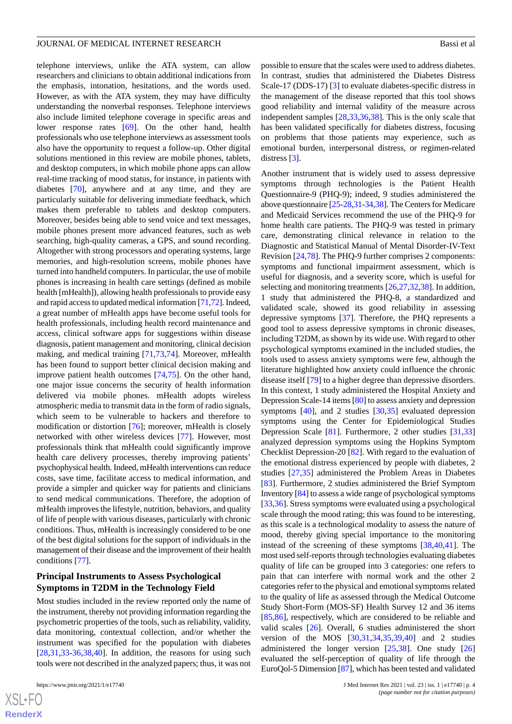telephone interviews, unlike the ATA system, can allow researchers and clinicians to obtain additional indications from the emphasis, intonation, hesitations, and the words used. However, as with the ATA system, they may have difficulty understanding the nonverbal responses. Telephone interviews also include limited telephone coverage in specific areas and lower response rates [[69\]](#page-10-20). On the other hand, health professionals who use telephone interviews as assessment tools also have the opportunity to request a follow-up. Other digital solutions mentioned in this review are mobile phones, tablets, and desktop computers, in which mobile phone apps can allow real-time tracking of mood status, for instance, in patients with diabetes [\[70](#page-10-21)], anywhere and at any time, and they are particularly suitable for delivering immediate feedback, which makes them preferable to tablets and desktop computers. Moreover, besides being able to send voice and text messages, mobile phones present more advanced features, such as web searching, high-quality cameras, a GPS, and sound recording. Altogether with strong processors and operating systems, large memories, and high-resolution screens, mobile phones have turned into handheld computers. In particular, the use of mobile phones is increasing in health care settings (defined as mobile health [mHealth]), allowing health professionals to provide easy and rapid access to updated medical information [\[71](#page-11-0)[,72](#page-11-1)]. Indeed, a great number of mHealth apps have become useful tools for health professionals, including health record maintenance and access, clinical software apps for suggestions within disease diagnosis, patient management and monitoring, clinical decision making, and medical training [[71,](#page-11-0)[73](#page-11-2),[74\]](#page-11-3). Moreover, mHealth has been found to support better clinical decision making and improve patient health outcomes [[74,](#page-11-3)[75](#page-11-4)]. On the other hand, one major issue concerns the security of health information delivered via mobile phones. mHealth adopts wireless atmospheric media to transmit data in the form of radio signals, which seem to be vulnerable to hackers and therefore to modification or distortion [\[76](#page-11-5)]; moreover, mHealth is closely networked with other wireless devices [[77\]](#page-11-6). However, most professionals think that mHealth could significantly improve health care delivery processes, thereby improving patients' psychophysical health. Indeed, mHealth interventions can reduce costs, save time, facilitate access to medical information, and provide a simpler and quicker way for patients and clinicians to send medical communications. Therefore, the adoption of mHealth improves the lifestyle, nutrition, behaviors, and quality of life of people with various diseases, particularly with chronic conditions. Thus, mHealth is increasingly considered to be one of the best digital solutions for the support of individuals in the management of their disease and the improvement of their health conditions [\[77](#page-11-6)].

# **Principal Instruments to Assess Psychological Symptoms in T2DM in the Technology Field**

Most studies included in the review reported only the name of the instrument, thereby not providing information regarding the psychometric properties of the tools, such as reliability, validity, data monitoring, contextual collection, and/or whether the instrument was specified for the population with diabetes  $[28,31,33-36,38,40]$  $[28,31,33-36,38,40]$  $[28,31,33-36,38,40]$  $[28,31,33-36,38,40]$  $[28,31,33-36,38,40]$  $[28,31,33-36,38,40]$  $[28,31,33-36,38,40]$  $[28,31,33-36,38,40]$  $[28,31,33-36,38,40]$  $[28,31,33-36,38,40]$ . In addition, the reasons for using such tools were not described in the analyzed papers; thus, it was not

possible to ensure that the scales were used to address diabetes. In contrast, studies that administered the Diabetes Distress Scale-17 (DDS-17) [[3\]](#page-7-3) to evaluate diabetes-specific distress in the management of the disease reported that this tool shows good reliability and internal validity of the measure across independent samples [[28,](#page-8-20)[33](#page-9-17)[,36](#page-9-4)[,38](#page-9-6)]. This is the only scale that has been validated specifically for diabetes distress, focusing on problems that those patients may experience, such as emotional burden, interpersonal distress, or regimen-related distress [[3](#page-7-3)].

Another instrument that is widely used to assess depressive symptoms through technologies is the Patient Health Questionnaire-9 (PHQ-9); indeed, 9 studies administered the above questionnaire [\[25](#page-8-19)[-28](#page-8-20)[,31](#page-9-1)[-34](#page-9-2)[,38](#page-9-6)]. The Centers for Medicare and Medicaid Services recommend the use of the PHQ-9 for home health care patients. The PHQ-9 was tested in primary care, demonstrating clinical relevance in relation to the Diagnostic and Statistical Manual of Mental Disorder-IV-Text Revision [\[24](#page-8-18),[78\]](#page-11-7). The PHQ-9 further comprises 2 components: symptoms and functional impairment assessment, which is useful for diagnosis, and a severity score, which is useful for selecting and monitoring treatments [[26,](#page-8-21)[27](#page-8-22),[32,](#page-9-18)[38](#page-9-6)]. In addition, 1 study that administered the PHQ-8, a standardized and validated scale, showed its good reliability in assessing depressive symptoms [[37\]](#page-9-5). Therefore, the PHQ represents a good tool to assess depressive symptoms in chronic diseases, including T2DM, as shown by its wide use. With regard to other psychological symptoms examined in the included studies, the tools used to assess anxiety symptoms were few, although the literature highlighted how anxiety could influence the chronic disease itself [\[79](#page-11-8)] to a higher degree than depressive disorders. In this context, 1 study administered the Hospital Anxiety and Depression Scale-14 items [[80\]](#page-11-9) to assess anxiety and depression symptoms [[40\]](#page-9-8), and 2 studies [\[30](#page-9-0),[35\]](#page-9-3) evaluated depression symptoms using the Center for Epidemiological Studies Depression Scale [[81\]](#page-11-10). Furthermore, 2 other studies [[31](#page-9-1)[,33](#page-9-17)] analyzed depression symptoms using the Hopkins Symptom Checklist Depression-20 [[82\]](#page-11-11). With regard to the evaluation of the emotional distress experienced by people with diabetes, 2 studies [[27](#page-8-22)[,35](#page-9-3)] administered the Problem Areas in Diabetes [[83\]](#page-11-12). Furthermore, 2 studies administered the Brief Symptom Inventory [\[84\]](#page-11-13) to assess a wide range of psychological symptoms [[33,](#page-9-17)[36\]](#page-9-4). Stress symptoms were evaluated using a psychological scale through the mood rating; this was found to be interesting, as this scale is a technological modality to assess the nature of mood, thereby giving special importance to the monitoring instead of the screening of these symptoms [\[38](#page-9-6),[40](#page-9-8)[,41](#page-9-9)]. The most used self-reports through technologies evaluating diabetes quality of life can be grouped into 3 categories: one refers to pain that can interfere with normal work and the other 2 categories refer to the physical and emotional symptoms related to the quality of life as assessed through the Medical Outcome Study Short-Form (MOS-SF) Health Survey 12 and 36 items [[85,](#page-11-14)[86\]](#page-11-15), respectively, which are considered to be reliable and valid scales [[26\]](#page-8-21). Overall, 6 studies administered the short version of the MOS [[30,](#page-9-0)[31](#page-9-1),[34,](#page-9-2)[35](#page-9-3),[39,](#page-9-7)[40](#page-9-8)] and 2 studies administered the longer version  $[25,38]$  $[25,38]$  $[25,38]$  $[25,38]$ . One study  $[26]$  $[26]$ evaluated the self-perception of quality of life through the EuroQol-5 Dimension [\[87](#page-11-16)], which has been tested and validated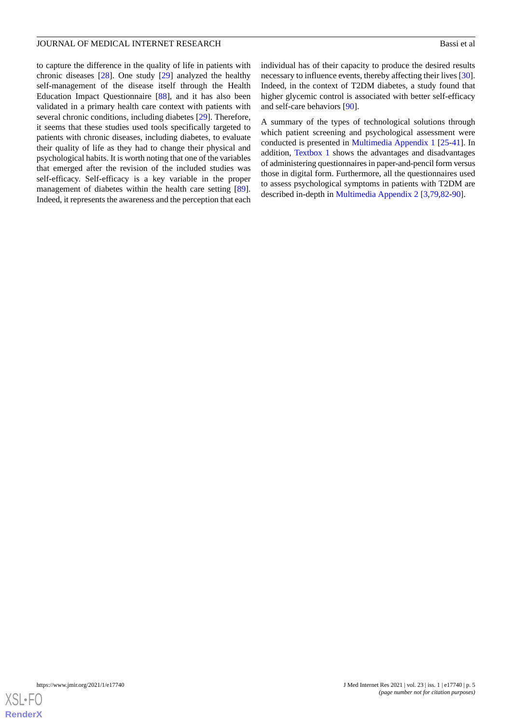to capture the difference in the quality of life in patients with chronic diseases [\[28](#page-8-20)]. One study [\[29](#page-9-19)] analyzed the healthy self-management of the disease itself through the Health Education Impact Questionnaire [\[88](#page-11-17)], and it has also been validated in a primary health care context with patients with several chronic conditions, including diabetes [\[29](#page-9-19)]. Therefore, it seems that these studies used tools specifically targeted to patients with chronic diseases, including diabetes, to evaluate their quality of life as they had to change their physical and psychological habits. It is worth noting that one of the variables that emerged after the revision of the included studies was self-efficacy. Self-efficacy is a key variable in the proper management of diabetes within the health care setting [[89\]](#page-11-18). Indeed, it represents the awareness and the perception that each individual has of their capacity to produce the desired results necessary to influence events, thereby affecting their lives [[30\]](#page-9-0). Indeed, in the context of T2DM diabetes, a study found that higher glycemic control is associated with better self-efficacy and self-care behaviors [\[90](#page-11-19)].

A summary of the types of technological solutions through which patient screening and psychological assessment were conducted is presented in [Multimedia Appendix 1](#page-7-4) [\[25](#page-8-19)-[41\]](#page-9-9). In addition, [Textbox 1](#page-5-0) shows the advantages and disadvantages of administering questionnaires in paper-and-pencil form versus those in digital form. Furthermore, all the questionnaires used to assess psychological symptoms in patients with T2DM are described in-depth in [Multimedia Appendix 2](#page-7-5) [\[3,](#page-7-3)[79](#page-11-8)[,82](#page-11-11)-[90\]](#page-11-19).

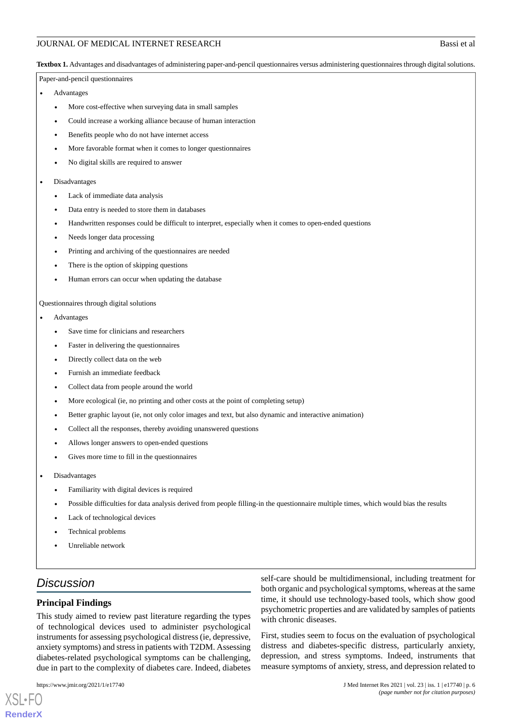<span id="page-5-0"></span>**Textbox 1.** Advantages and disadvantages of administering paper-and-pencil questionnaires versus administering questionnaires through digital solutions.

Paper-and-pencil questionnaires

- **Advantages** 
	- More cost-effective when surveying data in small samples
	- Could increase a working alliance because of human interaction
	- Benefits people who do not have internet access
	- More favorable format when it comes to longer questionnaires
	- No digital skills are required to answer
- Disadvantages
	- Lack of immediate data analysis
	- Data entry is needed to store them in databases
	- Handwritten responses could be difficult to interpret, especially when it comes to open-ended questions
	- Needs longer data processing
	- Printing and archiving of the questionnaires are needed
	- There is the option of skipping questions
	- Human errors can occur when updating the database

### Questionnaires through digital solutions

- Advantages
	- Save time for clinicians and researchers
	- Faster in delivering the questionnaires
	- Directly collect data on the web
	- Furnish an immediate feedback
	- Collect data from people around the world
	- More ecological (ie, no printing and other costs at the point of completing setup)
	- Better graphic layout (ie, not only color images and text, but also dynamic and interactive animation)
	- Collect all the responses, thereby avoiding unanswered questions
	- Allows longer answers to open-ended questions
	- Gives more time to fill in the questionnaires
- Disadvantages
	- Familiarity with digital devices is required
	- Possible difficulties for data analysis derived from people filling-in the questionnaire multiple times, which would bias the results
	- Lack of technological devices
	- Technical problems
	- Unreliable network

# *Discussion*

### **Principal Findings**

This study aimed to review past literature regarding the types of technological devices used to administer psychological instruments for assessing psychological distress (ie, depressive, anxiety symptoms) and stress in patients with T2DM. Assessing diabetes-related psychological symptoms can be challenging, due in part to the complexity of diabetes care. Indeed, diabetes

[XSL](http://www.w3.org/Style/XSL)•FO **[RenderX](http://www.renderx.com/)**

self-care should be multidimensional, including treatment for both organic and psychological symptoms, whereas at the same time, it should use technology-based tools, which show good psychometric properties and are validated by samples of patients with chronic diseases.

First, studies seem to focus on the evaluation of psychological distress and diabetes-specific distress, particularly anxiety, depression, and stress symptoms. Indeed, instruments that measure symptoms of anxiety, stress, and depression related to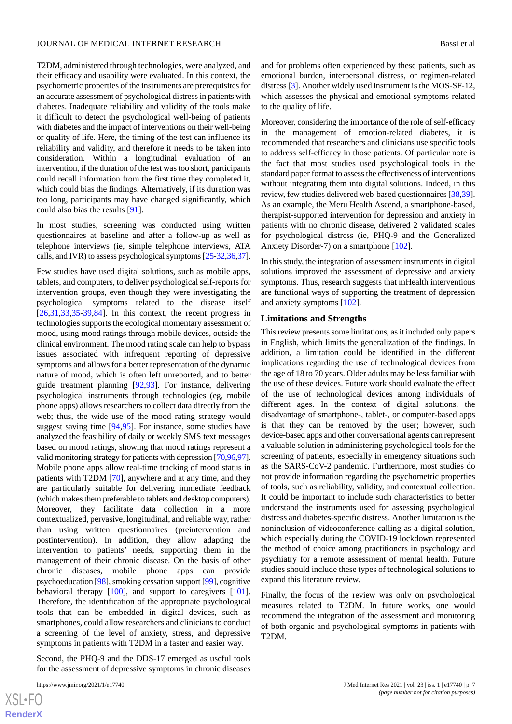T2DM, administered through technologies, were analyzed, and their efficacy and usability were evaluated. In this context, the psychometric properties of the instruments are prerequisites for an accurate assessment of psychological distress in patients with diabetes. Inadequate reliability and validity of the tools make it difficult to detect the psychological well-being of patients with diabetes and the impact of interventions on their well-being or quality of life. Here, the timing of the test can influence its reliability and validity, and therefore it needs to be taken into consideration. Within a longitudinal evaluation of an intervention, if the duration of the test was too short, participants could recall information from the first time they completed it, which could bias the findings. Alternatively, if its duration was too long, participants may have changed significantly, which could also bias the results [\[91](#page-11-20)].

In most studies, screening was conducted using written questionnaires at baseline and after a follow-up as well as telephone interviews (ie, simple telephone interviews, ATA calls, and IVR) to assess psychological symptoms [[25-](#page-8-19)[32,](#page-9-18)[36](#page-9-4)[,37\]](#page-9-5).

Few studies have used digital solutions, such as mobile apps, tablets, and computers, to deliver psychological self-reports for intervention groups, even though they were investigating the psychological symptoms related to the disease itself  $[26,31,33,35,39,84]$  $[26,31,33,35,39,84]$  $[26,31,33,35,39,84]$  $[26,31,33,35,39,84]$  $[26,31,33,35,39,84]$  $[26,31,33,35,39,84]$  $[26,31,33,35,39,84]$  $[26,31,33,35,39,84]$  $[26,31,33,35,39,84]$  $[26,31,33,35,39,84]$ . In this context, the recent progress in technologies supports the ecological momentary assessment of mood, using mood ratings through mobile devices, outside the clinical environment. The mood rating scale can help to bypass issues associated with infrequent reporting of depressive symptoms and allows for a better representation of the dynamic nature of mood, which is often left unreported, and to better guide treatment planning [[92,](#page-11-21)[93\]](#page-11-22). For instance, delivering psychological instruments through technologies (eg, mobile phone apps) allows researchers to collect data directly from the web; thus, the wide use of the mood rating strategy would suggest saving time [[94](#page-11-23)[,95](#page-11-24)]. For instance, some studies have analyzed the feasibility of daily or weekly SMS text messages based on mood ratings, showing that mood ratings represent a valid monitoring strategy for patients with depression [\[70,](#page-10-21)[96](#page-12-0)[,97\]](#page-12-1). Mobile phone apps allow real-time tracking of mood status in patients with T2DM [\[70](#page-10-21)], anywhere and at any time, and they are particularly suitable for delivering immediate feedback (which makes them preferable to tablets and desktop computers). Moreover, they facilitate data collection in a more contextualized, pervasive, longitudinal, and reliable way, rather than using written questionnaires (preintervention and postintervention). In addition, they allow adapting the intervention to patients' needs, supporting them in the management of their chronic disease. On the basis of other chronic diseases, mobile phone apps can provide psychoeducation [\[98](#page-12-2)], smoking cessation support [\[99](#page-12-3)], cognitive behavioral therapy [\[100](#page-12-4)], and support to caregivers [[101\]](#page-12-5). Therefore, the identification of the appropriate psychological tools that can be embedded in digital devices, such as smartphones, could allow researchers and clinicians to conduct a screening of the level of anxiety, stress, and depressive symptoms in patients with T2DM in a faster and easier way.

Second, the PHQ-9 and the DDS-17 emerged as useful tools for the assessment of depressive symptoms in chronic diseases

[XSL](http://www.w3.org/Style/XSL)•FO **[RenderX](http://www.renderx.com/)** and for problems often experienced by these patients, such as emotional burden, interpersonal distress, or regimen-related distress [\[3](#page-7-3)]. Another widely used instrument is the MOS-SF-12, which assesses the physical and emotional symptoms related to the quality of life.

Moreover, considering the importance of the role of self-efficacy in the management of emotion-related diabetes, it is recommended that researchers and clinicians use specific tools to address self-efficacy in those patients. Of particular note is the fact that most studies used psychological tools in the standard paper format to assess the effectiveness of interventions without integrating them into digital solutions. Indeed, in this review, few studies delivered web-based questionnaires [[38,](#page-9-6)[39](#page-9-7)]. As an example, the Meru Health Ascend, a smartphone-based, therapist-supported intervention for depression and anxiety in patients with no chronic disease, delivered 2 validated scales for psychological distress (ie, PHQ-9 and the Generalized Anxiety Disorder-7) on a smartphone [\[102](#page-12-6)].

In this study, the integration of assessment instruments in digital solutions improved the assessment of depressive and anxiety symptoms. Thus, research suggests that mHealth interventions are functional ways of supporting the treatment of depression and anxiety symptoms [[102](#page-12-6)].

### **Limitations and Strengths**

This review presents some limitations, as it included only papers in English, which limits the generalization of the findings. In addition, a limitation could be identified in the different implications regarding the use of technological devices from the age of 18 to 70 years. Older adults may be less familiar with the use of these devices. Future work should evaluate the effect of the use of technological devices among individuals of different ages. In the context of digital solutions, the disadvantage of smartphone-, tablet-, or computer-based apps is that they can be removed by the user; however, such device-based apps and other conversational agents can represent a valuable solution in administering psychological tools for the screening of patients, especially in emergency situations such as the SARS-CoV-2 pandemic. Furthermore, most studies do not provide information regarding the psychometric properties of tools, such as reliability, validity, and contextual collection. It could be important to include such characteristics to better understand the instruments used for assessing psychological distress and diabetes-specific distress. Another limitation is the noninclusion of videoconference calling as a digital solution, which especially during the COVID-19 lockdown represented the method of choice among practitioners in psychology and psychiatry for a remote assessment of mental health. Future studies should include these types of technological solutions to expand this literature review.

Finally, the focus of the review was only on psychological measures related to T2DM. In future works, one would recommend the integration of the assessment and monitoring of both organic and psychological symptoms in patients with T2DM.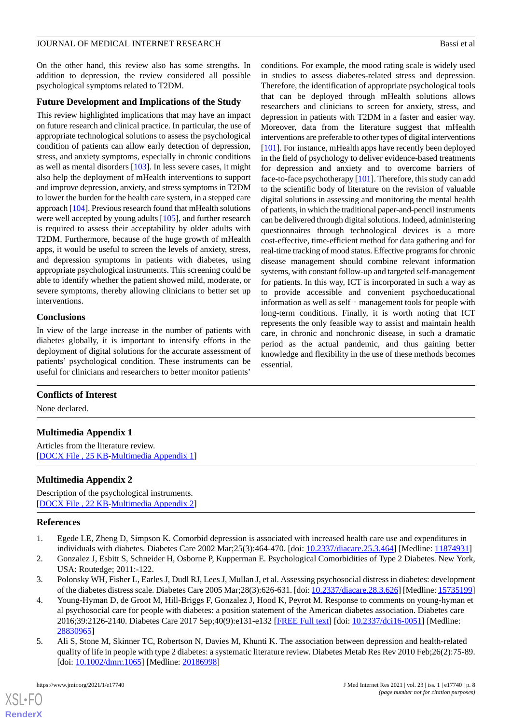On the other hand, this review also has some strengths. In addition to depression, the review considered all possible psychological symptoms related to T2DM.

# **Future Development and Implications of the Study**

This review highlighted implications that may have an impact on future research and clinical practice. In particular, the use of appropriate technological solutions to assess the psychological condition of patients can allow early detection of depression, stress, and anxiety symptoms, especially in chronic conditions as well as mental disorders [[103](#page-12-7)]. In less severe cases, it might also help the deployment of mHealth interventions to support and improve depression, anxiety, and stress symptoms in T2DM to lower the burden for the health care system, in a stepped care approach [\[104\]](#page-12-8). Previous research found that mHealth solutions were well accepted by young adults [\[105](#page-12-9)], and further research is required to assess their acceptability by older adults with T2DM. Furthermore, because of the huge growth of mHealth apps, it would be useful to screen the levels of anxiety, stress, and depression symptoms in patients with diabetes, using appropriate psychological instruments. This screening could be able to identify whether the patient showed mild, moderate, or severe symptoms, thereby allowing clinicians to better set up interventions.

# **Conclusions**

In view of the large increase in the number of patients with diabetes globally, it is important to intensify efforts in the deployment of digital solutions for the accurate assessment of patients' psychological condition. These instruments can be useful for clinicians and researchers to better monitor patients'

conditions. For example, the mood rating scale is widely used in studies to assess diabetes-related stress and depression. Therefore, the identification of appropriate psychological tools that can be deployed through mHealth solutions allows researchers and clinicians to screen for anxiety, stress, and depression in patients with T2DM in a faster and easier way. Moreover, data from the literature suggest that mHealth interventions are preferable to other types of digital interventions [[101\]](#page-12-5). For instance, mHealth apps have recently been deployed in the field of psychology to deliver evidence-based treatments for depression and anxiety and to overcome barriers of face-to-face psychotherapy [\[101](#page-12-5)]. Therefore, this study can add to the scientific body of literature on the revision of valuable digital solutions in assessing and monitoring the mental health of patients, in which the traditional paper-and-pencil instruments can be delivered through digital solutions. Indeed, administering questionnaires through technological devices is a more cost-effective, time-efficient method for data gathering and for real-time tracking of mood status. Effective programs for chronic disease management should combine relevant information systems, with constant follow-up and targeted self-management for patients. In this way, ICT is incorporated in such a way as to provide accessible and convenient psychoeducational information as well as self - management tools for people with long-term conditions. Finally, it is worth noting that ICT represents the only feasible way to assist and maintain health care, in chronic and nonchronic disease, in such a dramatic period as the actual pandemic, and thus gaining better knowledge and flexibility in the use of these methods becomes essential.

# <span id="page-7-4"></span>**Conflicts of Interest**

None declared.

# <span id="page-7-5"></span>**Multimedia Appendix 1**

Articles from the literature review. [[DOCX File , 25 KB](https://jmir.org/api/download?alt_name=jmir_v23i1e17740_app1.docx&filename=eab8087c3fa2dd68d9014e3c98768ea7.docx)-[Multimedia Appendix 1\]](https://jmir.org/api/download?alt_name=jmir_v23i1e17740_app1.docx&filename=eab8087c3fa2dd68d9014e3c98768ea7.docx)

# <span id="page-7-0"></span>**Multimedia Appendix 2**

Description of the psychological instruments. [[DOCX File , 22 KB](https://jmir.org/api/download?alt_name=jmir_v23i1e17740_app2.docx&filename=ae525e0e1b23d112ad7e849d2a2a355d.docx)-[Multimedia Appendix 2\]](https://jmir.org/api/download?alt_name=jmir_v23i1e17740_app2.docx&filename=ae525e0e1b23d112ad7e849d2a2a355d.docx)

# <span id="page-7-3"></span>**References**

- <span id="page-7-1"></span>1. Egede LE, Zheng D, Simpson K. Comorbid depression is associated with increased health care use and expenditures in individuals with diabetes. Diabetes Care 2002 Mar;25(3):464-470. [doi: [10.2337/diacare.25.3.464\]](http://dx.doi.org/10.2337/diacare.25.3.464) [Medline: [11874931\]](http://www.ncbi.nlm.nih.gov/entrez/query.fcgi?cmd=Retrieve&db=PubMed&list_uids=11874931&dopt=Abstract)
- 2. Gonzalez J, Esbitt S, Schneider H, Osborne P, Kupperman E. Psychological Comorbidities of Type 2 Diabetes. New York, USA: Routedge; 2011:-122.
- <span id="page-7-2"></span>3. Polonsky WH, Fisher L, Earles J, Dudl RJ, Lees J, Mullan J, et al. Assessing psychosocial distress in diabetes: development of the diabetes distress scale. Diabetes Care 2005 Mar;28(3):626-631. [doi: [10.2337/diacare.28.3.626](http://dx.doi.org/10.2337/diacare.28.3.626)] [Medline: [15735199](http://www.ncbi.nlm.nih.gov/entrez/query.fcgi?cmd=Retrieve&db=PubMed&list_uids=15735199&dopt=Abstract)]
- 4. Young-Hyman D, de Groot M, Hill-Briggs F, Gonzalez J, Hood K, Peyrot M. Response to comments on young-hyman et al psychosocial care for people with diabetes: a position statement of the American diabetes association. Diabetes care 2016;39:2126-2140. Diabetes Care 2017 Sep;40(9):e131-e132 [\[FREE Full text](http://europepmc.org/abstract/MED/28830965)] [doi: [10.2337/dci16-0051](http://dx.doi.org/10.2337/dci16-0051)] [Medline: [28830965](http://www.ncbi.nlm.nih.gov/entrez/query.fcgi?cmd=Retrieve&db=PubMed&list_uids=28830965&dopt=Abstract)]
- 5. Ali S, Stone M, Skinner TC, Robertson N, Davies M, Khunti K. The association between depression and health-related quality of life in people with type 2 diabetes: a systematic literature review. Diabetes Metab Res Rev 2010 Feb;26(2):75-89. [doi: [10.1002/dmrr.1065\]](http://dx.doi.org/10.1002/dmrr.1065) [Medline: [20186998](http://www.ncbi.nlm.nih.gov/entrez/query.fcgi?cmd=Retrieve&db=PubMed&list_uids=20186998&dopt=Abstract)]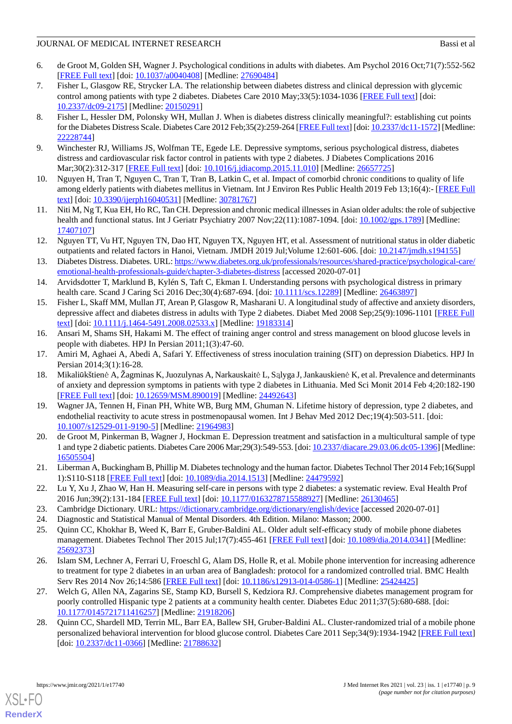- <span id="page-8-0"></span>6. de Groot M, Golden SH, Wagner J. Psychological conditions in adults with diabetes. Am Psychol 2016 Oct;71(7):552-562 [[FREE Full text](http://europepmc.org/abstract/MED/27690484)] [doi: [10.1037/a0040408](http://dx.doi.org/10.1037/a0040408)] [Medline: [27690484\]](http://www.ncbi.nlm.nih.gov/entrez/query.fcgi?cmd=Retrieve&db=PubMed&list_uids=27690484&dopt=Abstract)
- <span id="page-8-5"></span>7. Fisher L, Glasgow RE, Strycker LA. The relationship between diabetes distress and clinical depression with glycemic control among patients with type 2 diabetes. Diabetes Care 2010 May;33(5):1034-1036 [\[FREE Full text](http://europepmc.org/abstract/MED/20150291)] [doi: [10.2337/dc09-2175\]](http://dx.doi.org/10.2337/dc09-2175) [Medline: [20150291](http://www.ncbi.nlm.nih.gov/entrez/query.fcgi?cmd=Retrieve&db=PubMed&list_uids=20150291&dopt=Abstract)]
- <span id="page-8-6"></span>8. Fisher L, Hessler DM, Polonsky WH, Mullan J. When is diabetes distress clinically meaningful?: establishing cut points for the Diabetes Distress Scale. Diabetes Care 2012 Feb;35(2):259-264 [[FREE Full text](http://europepmc.org/abstract/MED/22228744)] [doi: [10.2337/dc11-1572\]](http://dx.doi.org/10.2337/dc11-1572) [Medline: [22228744](http://www.ncbi.nlm.nih.gov/entrez/query.fcgi?cmd=Retrieve&db=PubMed&list_uids=22228744&dopt=Abstract)]
- <span id="page-8-2"></span><span id="page-8-1"></span>9. Winchester RJ, Williams JS, Wolfman TE, Egede LE. Depressive symptoms, serious psychological distress, diabetes distress and cardiovascular risk factor control in patients with type 2 diabetes. J Diabetes Complications 2016 Mar;30(2):312-317 [[FREE Full text\]](http://europepmc.org/abstract/MED/26657725) [doi: [10.1016/j.jdiacomp.2015.11.010\]](http://dx.doi.org/10.1016/j.jdiacomp.2015.11.010) [Medline: [26657725](http://www.ncbi.nlm.nih.gov/entrez/query.fcgi?cmd=Retrieve&db=PubMed&list_uids=26657725&dopt=Abstract)]
- <span id="page-8-3"></span>10. Nguyen H, Tran T, Nguyen C, Tran T, Tran B, Latkin C, et al. Impact of comorbid chronic conditions to quality of life among elderly patients with diabetes mellitus in Vietnam. Int J Environ Res Public Health 2019 Feb 13;16(4):- [[FREE Full](https://www.mdpi.com/resolver?pii=ijerph16040531) [text](https://www.mdpi.com/resolver?pii=ijerph16040531)] [doi: [10.3390/ijerph16040531](http://dx.doi.org/10.3390/ijerph16040531)] [Medline: [30781767\]](http://www.ncbi.nlm.nih.gov/entrez/query.fcgi?cmd=Retrieve&db=PubMed&list_uids=30781767&dopt=Abstract)
- <span id="page-8-4"></span>11. Niti M, Ng T, Kua EH, Ho RC, Tan CH. Depression and chronic medical illnesses in Asian older adults: the role of subjective health and functional status. Int J Geriatr Psychiatry 2007 Nov;22(11):1087-1094. [doi: [10.1002/gps.1789\]](http://dx.doi.org/10.1002/gps.1789) [Medline: [17407107](http://www.ncbi.nlm.nih.gov/entrez/query.fcgi?cmd=Retrieve&db=PubMed&list_uids=17407107&dopt=Abstract)]
- <span id="page-8-7"></span>12. Nguyen TT, Vu HT, Nguyen TN, Dao HT, Nguyen TX, Nguyen HT, et al. Assessment of nutritional status in older diabetic outpatients and related factors in Hanoi, Vietnam. JMDH 2019 Jul;Volume 12:601-606. [doi: [10.2147/jmdh.s194155\]](http://dx.doi.org/10.2147/jmdh.s194155)
- <span id="page-8-8"></span>13. Diabetes Distress. Diabetes. URL: [https://www.diabetes.org.uk/professionals/resources/shared-practice/psychological-care/](https://www.diabetes.org.uk/professionals/resources/shared-practice/psychological-care/emotional-health-professionals-guide/chapter-3-diabetes-distress) [emotional-health-professionals-guide/chapter-3-diabetes-distress](https://www.diabetes.org.uk/professionals/resources/shared-practice/psychological-care/emotional-health-professionals-guide/chapter-3-diabetes-distress) [accessed 2020-07-01]
- <span id="page-8-9"></span>14. Arvidsdotter T, Marklund B, Kylén S, Taft C, Ekman I. Understanding persons with psychological distress in primary health care. Scand J Caring Sci 2016 Dec;30(4):687-694. [doi: [10.1111/scs.12289\]](http://dx.doi.org/10.1111/scs.12289) [Medline: [26463897\]](http://www.ncbi.nlm.nih.gov/entrez/query.fcgi?cmd=Retrieve&db=PubMed&list_uids=26463897&dopt=Abstract)
- <span id="page-8-10"></span>15. Fisher L, Skaff MM, Mullan JT, Arean P, Glasgow R, Masharani U. A longitudinal study of affective and anxiety disorders, depressive affect and diabetes distress in adults with Type 2 diabetes. Diabet Med 2008 Sep;25(9):1096-1101 [[FREE Full](http://europepmc.org/abstract/MED/19183314) [text](http://europepmc.org/abstract/MED/19183314)] [doi: [10.1111/j.1464-5491.2008.02533.x\]](http://dx.doi.org/10.1111/j.1464-5491.2008.02533.x) [Medline: [19183314\]](http://www.ncbi.nlm.nih.gov/entrez/query.fcgi?cmd=Retrieve&db=PubMed&list_uids=19183314&dopt=Abstract)
- <span id="page-8-12"></span><span id="page-8-11"></span>16. Ansari M, Shams SH, Hakami M. The effect of training anger control and stress management on blood glucose levels in people with diabetes. HPJ In Persian 2011;1(3):47-60.
- 17. Amiri M, Aghaei A, Abedi A, Safari Y. Effectiveness of stress inoculation training (SIT) on depression Diabetics. HPJ In Persian 2014;3(1):16-28.
- <span id="page-8-13"></span>18. Mikaliūkštienė A, Žagminas K, Juozulynas A, Narkauskaitė L, Sąlyga J, Jankauskienė K, et al. Prevalence and determinants of anxiety and depression symptoms in patients with type 2 diabetes in Lithuania. Med Sci Monit 2014 Feb 4;20:182-190 [[FREE Full text](https://www.medscimonit.com/download/index/idArt/890019)] [doi: [10.12659/MSM.890019\]](http://dx.doi.org/10.12659/MSM.890019) [Medline: [24492643](http://www.ncbi.nlm.nih.gov/entrez/query.fcgi?cmd=Retrieve&db=PubMed&list_uids=24492643&dopt=Abstract)]
- <span id="page-8-14"></span>19. Wagner JA, Tennen H, Finan PH, White WB, Burg MM, Ghuman N. Lifetime history of depression, type 2 diabetes, and endothelial reactivity to acute stress in postmenopausal women. Int J Behav Med 2012 Dec;19(4):503-511. [doi: [10.1007/s12529-011-9190-5\]](http://dx.doi.org/10.1007/s12529-011-9190-5) [Medline: [21964983](http://www.ncbi.nlm.nih.gov/entrez/query.fcgi?cmd=Retrieve&db=PubMed&list_uids=21964983&dopt=Abstract)]
- <span id="page-8-16"></span><span id="page-8-15"></span>20. de Groot M, Pinkerman B, Wagner J, Hockman E. Depression treatment and satisfaction in a multicultural sample of type 1 and type 2 diabetic patients. Diabetes Care 2006 Mar;29(3):549-553. [doi: [10.2337/diacare.29.03.06.dc05-1396\]](http://dx.doi.org/10.2337/diacare.29.03.06.dc05-1396) [Medline: [16505504](http://www.ncbi.nlm.nih.gov/entrez/query.fcgi?cmd=Retrieve&db=PubMed&list_uids=16505504&dopt=Abstract)]
- <span id="page-8-19"></span><span id="page-8-18"></span><span id="page-8-17"></span>21. Liberman A, Buckingham B, Phillip M. Diabetes technology and the human factor. Diabetes Technol Ther 2014 Feb;16(Suppl 1):S110-S118 [[FREE Full text](http://europepmc.org/abstract/MED/24479592)] [doi: [10.1089/dia.2014.1513](http://dx.doi.org/10.1089/dia.2014.1513)] [Medline: [24479592\]](http://www.ncbi.nlm.nih.gov/entrez/query.fcgi?cmd=Retrieve&db=PubMed&list_uids=24479592&dopt=Abstract)
- 22. Lu Y, Xu J, Zhao W, Han H. Measuring self-care in persons with type 2 diabetes: a systematic review. Eval Health Prof 2016 Jun;39(2):131-184 [\[FREE Full text\]](http://europepmc.org/abstract/MED/26130465) [doi: [10.1177/0163278715588927](http://dx.doi.org/10.1177/0163278715588927)] [Medline: [26130465\]](http://www.ncbi.nlm.nih.gov/entrez/query.fcgi?cmd=Retrieve&db=PubMed&list_uids=26130465&dopt=Abstract)
- <span id="page-8-21"></span>23. Cambridge Dictionary. URL: <https://dictionary.cambridge.org/dictionary/english/device> [accessed 2020-07-01]
- 24. Diagnostic and Statistical Manual of Mental Disorders. 4th Edition. Milano: Masson; 2000.
- <span id="page-8-22"></span>25. Quinn CC, Khokhar B, Weed K, Barr E, Gruber-Baldini AL. Older adult self-efficacy study of mobile phone diabetes management. Diabetes Technol Ther 2015 Jul;17(7):455-461 [[FREE Full text](http://europepmc.org/abstract/MED/25692373)] [doi: [10.1089/dia.2014.0341\]](http://dx.doi.org/10.1089/dia.2014.0341) [Medline: [25692373](http://www.ncbi.nlm.nih.gov/entrez/query.fcgi?cmd=Retrieve&db=PubMed&list_uids=25692373&dopt=Abstract)]
- <span id="page-8-20"></span>26. Islam SM, Lechner A, Ferrari U, Froeschl G, Alam DS, Holle R, et al. Mobile phone intervention for increasing adherence to treatment for type 2 diabetes in an urban area of Bangladesh: protocol for a randomized controlled trial. BMC Health Serv Res 2014 Nov 26;14:586 [\[FREE Full text\]](https://bmchealthservres.biomedcentral.com/articles/10.1186/s12913-014-0586-1) [doi: [10.1186/s12913-014-0586-1](http://dx.doi.org/10.1186/s12913-014-0586-1)] [Medline: [25424425\]](http://www.ncbi.nlm.nih.gov/entrez/query.fcgi?cmd=Retrieve&db=PubMed&list_uids=25424425&dopt=Abstract)
- 27. Welch G, Allen NA, Zagarins SE, Stamp KD, Bursell S, Kedziora RJ. Comprehensive diabetes management program for poorly controlled Hispanic type 2 patients at a community health center. Diabetes Educ 2011;37(5):680-688. [doi: [10.1177/0145721711416257\]](http://dx.doi.org/10.1177/0145721711416257) [Medline: [21918206\]](http://www.ncbi.nlm.nih.gov/entrez/query.fcgi?cmd=Retrieve&db=PubMed&list_uids=21918206&dopt=Abstract)
- 28. Quinn CC, Shardell MD, Terrin ML, Barr EA, Ballew SH, Gruber-Baldini AL. Cluster-randomized trial of a mobile phone personalized behavioral intervention for blood glucose control. Diabetes Care 2011 Sep;34(9):1934-1942 [[FREE Full text](http://europepmc.org/abstract/MED/21788632)] [doi: [10.2337/dc11-0366\]](http://dx.doi.org/10.2337/dc11-0366) [Medline: [21788632\]](http://www.ncbi.nlm.nih.gov/entrez/query.fcgi?cmd=Retrieve&db=PubMed&list_uids=21788632&dopt=Abstract)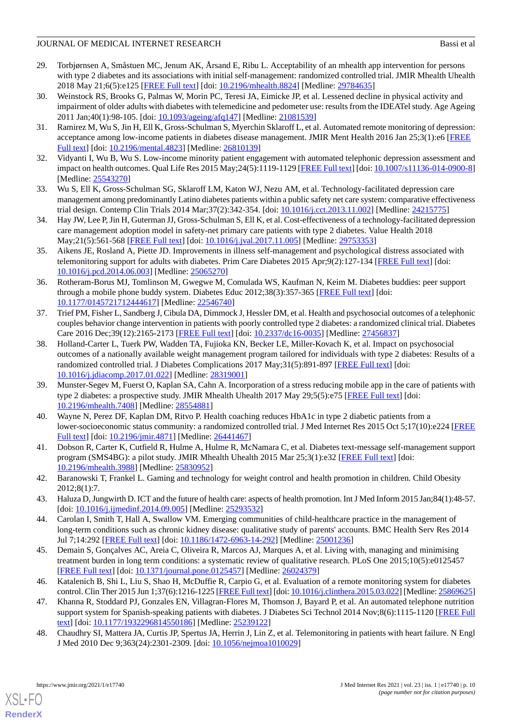- <span id="page-9-19"></span>29. Torbjørnsen A, Småstuen MC, Jenum AK, Årsand E, Ribu L. Acceptability of an mhealth app intervention for persons with type 2 diabetes and its associations with initial self-management: randomized controlled trial. JMIR Mhealth Uhealth 2018 May 21;6(5):e125 [\[FREE Full text\]](https://mhealth.jmir.org/2018/5/e125/) [doi: [10.2196/mhealth.8824\]](http://dx.doi.org/10.2196/mhealth.8824) [Medline: [29784635\]](http://www.ncbi.nlm.nih.gov/entrez/query.fcgi?cmd=Retrieve&db=PubMed&list_uids=29784635&dopt=Abstract)
- <span id="page-9-0"></span>30. Weinstock RS, Brooks G, Palmas W, Morin PC, Teresi JA, Eimicke JP, et al. Lessened decline in physical activity and impairment of older adults with diabetes with telemedicine and pedometer use: results from the IDEATel study. Age Ageing 2011 Jan;40(1):98-105. [doi: [10.1093/ageing/afq147\]](http://dx.doi.org/10.1093/ageing/afq147) [Medline: [21081539](http://www.ncbi.nlm.nih.gov/entrez/query.fcgi?cmd=Retrieve&db=PubMed&list_uids=21081539&dopt=Abstract)]
- <span id="page-9-1"></span>31. Ramirez M, Wu S, Jin H, Ell K, Gross-Schulman S, Myerchin Sklaroff L, et al. Automated remote monitoring of depression: acceptance among low-income patients in diabetes disease management. JMIR Ment Health 2016 Jan 25;3(1):e6 [\[FREE](https://mental.jmir.org/2016/1/e6/) [Full text\]](https://mental.jmir.org/2016/1/e6/) [doi: [10.2196/mental.4823](http://dx.doi.org/10.2196/mental.4823)] [Medline: [26810139\]](http://www.ncbi.nlm.nih.gov/entrez/query.fcgi?cmd=Retrieve&db=PubMed&list_uids=26810139&dopt=Abstract)
- <span id="page-9-18"></span><span id="page-9-17"></span>32. Vidyanti I, Wu B, Wu S. Low-income minority patient engagement with automated telephonic depression assessment and impact on health outcomes. Qual Life Res 2015 May; 24(5):1119-1129 [[FREE Full text](http://europepmc.org/abstract/MED/25543270)] [doi: [10.1007/s11136-014-0900-8](http://dx.doi.org/10.1007/s11136-014-0900-8)] [Medline: [25543270](http://www.ncbi.nlm.nih.gov/entrez/query.fcgi?cmd=Retrieve&db=PubMed&list_uids=25543270&dopt=Abstract)]
- <span id="page-9-2"></span>33. Wu S, Ell K, Gross-Schulman SG, Sklaroff LM, Katon WJ, Nezu AM, et al. Technology-facilitated depression care management among predominantly Latino diabetes patients within a public safety net care system: comparative effectiveness trial design. Contemp Clin Trials 2014 Mar;37(2):342-354. [doi: [10.1016/j.cct.2013.11.002](http://dx.doi.org/10.1016/j.cct.2013.11.002)] [Medline: [24215775](http://www.ncbi.nlm.nih.gov/entrez/query.fcgi?cmd=Retrieve&db=PubMed&list_uids=24215775&dopt=Abstract)]
- <span id="page-9-3"></span>34. Hay JW, Lee P, Jin H, Guterman JJ, Gross-Schulman S, Ell K, et al. Cost-effectiveness of a technology-facilitated depression care management adoption model in safety-net primary care patients with type 2 diabetes. Value Health 2018 May;21(5):561-568 [\[FREE Full text\]](https://linkinghub.elsevier.com/retrieve/pii/S1098-3015(17)33714-2) [doi: [10.1016/j.jval.2017.11.005\]](http://dx.doi.org/10.1016/j.jval.2017.11.005) [Medline: [29753353](http://www.ncbi.nlm.nih.gov/entrez/query.fcgi?cmd=Retrieve&db=PubMed&list_uids=29753353&dopt=Abstract)]
- <span id="page-9-4"></span>35. Aikens JE, Rosland A, Piette JD. Improvements in illness self-management and psychological distress associated with telemonitoring support for adults with diabetes. Prim Care Diabetes 2015 Apr;9(2):127-134 [\[FREE Full text\]](http://europepmc.org/abstract/MED/25065270) [doi: [10.1016/j.pcd.2014.06.003](http://dx.doi.org/10.1016/j.pcd.2014.06.003)] [Medline: [25065270\]](http://www.ncbi.nlm.nih.gov/entrez/query.fcgi?cmd=Retrieve&db=PubMed&list_uids=25065270&dopt=Abstract)
- <span id="page-9-5"></span>36. Rotheram-Borus MJ, Tomlinson M, Gwegwe M, Comulada WS, Kaufman N, Keim M. Diabetes buddies: peer support through a mobile phone buddy system. Diabetes Educ 2012;38(3):357-365 [\[FREE Full text\]](http://europepmc.org/abstract/MED/22546740) [doi: [10.1177/0145721712444617\]](http://dx.doi.org/10.1177/0145721712444617) [Medline: [22546740\]](http://www.ncbi.nlm.nih.gov/entrez/query.fcgi?cmd=Retrieve&db=PubMed&list_uids=22546740&dopt=Abstract)
- <span id="page-9-6"></span>37. Trief PM, Fisher L, Sandberg J, Cibula DA, Dimmock J, Hessler DM, et al. Health and psychosocial outcomes of a telephonic couples behavior change intervention in patients with poorly controlled type 2 diabetes: a randomized clinical trial. Diabetes Care 2016 Dec;39(12):2165-2173 [[FREE Full text](http://europepmc.org/abstract/MED/27456837)] [doi: [10.2337/dc16-0035\]](http://dx.doi.org/10.2337/dc16-0035) [Medline: [27456837](http://www.ncbi.nlm.nih.gov/entrez/query.fcgi?cmd=Retrieve&db=PubMed&list_uids=27456837&dopt=Abstract)]
- <span id="page-9-7"></span>38. Holland-Carter L, Tuerk PW, Wadden TA, Fujioka KN, Becker LE, Miller-Kovach K, et al. Impact on psychosocial outcomes of a nationally available weight management program tailored for individuals with type 2 diabetes: Results of a randomized controlled trial. J Diabetes Complications 2017 May;31(5):891-897 [\[FREE Full text\]](https://linkinghub.elsevier.com/retrieve/pii/S1056-8727(16)30621-3) [doi: [10.1016/j.jdiacomp.2017.01.022\]](http://dx.doi.org/10.1016/j.jdiacomp.2017.01.022) [Medline: [28319001\]](http://www.ncbi.nlm.nih.gov/entrez/query.fcgi?cmd=Retrieve&db=PubMed&list_uids=28319001&dopt=Abstract)
- <span id="page-9-8"></span>39. Munster-Segev M, Fuerst O, Kaplan SA, Cahn A. Incorporation of a stress reducing mobile app in the care of patients with type 2 diabetes: a prospective study. JMIR Mhealth Uhealth 2017 May 29;5(5):e75 [\[FREE Full text](https://mhealth.jmir.org/2017/5/e75/)] [doi: [10.2196/mhealth.7408](http://dx.doi.org/10.2196/mhealth.7408)] [Medline: [28554881](http://www.ncbi.nlm.nih.gov/entrez/query.fcgi?cmd=Retrieve&db=PubMed&list_uids=28554881&dopt=Abstract)]
- <span id="page-9-10"></span><span id="page-9-9"></span>40. Wayne N, Perez DF, Kaplan DM, Ritvo P. Health coaching reduces HbA1c in type 2 diabetic patients from a lower-socioeconomic status community: a randomized controlled trial. J Med Internet Res 2015 Oct 5;17(10):e224 [\[FREE](https://www.jmir.org/2015/10/e224/) [Full text\]](https://www.jmir.org/2015/10/e224/) [doi: [10.2196/jmir.4871](http://dx.doi.org/10.2196/jmir.4871)] [Medline: [26441467\]](http://www.ncbi.nlm.nih.gov/entrez/query.fcgi?cmd=Retrieve&db=PubMed&list_uids=26441467&dopt=Abstract)
- <span id="page-9-11"></span>41. Dobson R, Carter K, Cutfield R, Hulme A, Hulme R, McNamara C, et al. Diabetes text-message self-management support program (SMS4BG): a pilot study. JMIR Mhealth Uhealth 2015 Mar 25;3(1):e32 [[FREE Full text](https://mhealth.jmir.org/2015/1/e32/)] [doi: [10.2196/mhealth.3988](http://dx.doi.org/10.2196/mhealth.3988)] [Medline: [25830952](http://www.ncbi.nlm.nih.gov/entrez/query.fcgi?cmd=Retrieve&db=PubMed&list_uids=25830952&dopt=Abstract)]
- <span id="page-9-12"></span>42. Baranowski T, Frankel L. Gaming and technology for weight control and health promotion in children. Child Obesity 2012;8(1):7.
- <span id="page-9-13"></span>43. Haluza D, Jungwirth D. ICT and the future of health care: aspects of health promotion. Int J Med Inform 2015 Jan;84(1):48-57. [doi: [10.1016/j.ijmedinf.2014.09.005\]](http://dx.doi.org/10.1016/j.ijmedinf.2014.09.005) [Medline: [25293532\]](http://www.ncbi.nlm.nih.gov/entrez/query.fcgi?cmd=Retrieve&db=PubMed&list_uids=25293532&dopt=Abstract)
- <span id="page-9-14"></span>44. Carolan I, Smith T, Hall A, Swallow VM. Emerging communities of child-healthcare practice in the management of long-term conditions such as chronic kidney disease: qualitative study of parents' accounts. BMC Health Serv Res 2014 Jul 7;14:292 [\[FREE Full text](https://bmchealthservres.biomedcentral.com/articles/10.1186/1472-6963-14-292)] [doi: [10.1186/1472-6963-14-292\]](http://dx.doi.org/10.1186/1472-6963-14-292) [Medline: [25001236\]](http://www.ncbi.nlm.nih.gov/entrez/query.fcgi?cmd=Retrieve&db=PubMed&list_uids=25001236&dopt=Abstract)
- <span id="page-9-15"></span>45. Demain S, Gonçalves AC, Areia C, Oliveira R, Marcos AJ, Marques A, et al. Living with, managing and minimising treatment burden in long term conditions: a systematic review of qualitative research. PLoS One 2015;10(5):e0125457 [[FREE Full text](https://dx.plos.org/10.1371/journal.pone.0125457)] [doi: [10.1371/journal.pone.0125457](http://dx.doi.org/10.1371/journal.pone.0125457)] [Medline: [26024379](http://www.ncbi.nlm.nih.gov/entrez/query.fcgi?cmd=Retrieve&db=PubMed&list_uids=26024379&dopt=Abstract)]
- <span id="page-9-16"></span>46. Katalenich B, Shi L, Liu S, Shao H, McDuffie R, Carpio G, et al. Evaluation of a remote monitoring system for diabetes control. Clin Ther 2015 Jun 1;37(6):1216-1225 [[FREE Full text\]](http://europepmc.org/abstract/MED/25869625) [doi: [10.1016/j.clinthera.2015.03.022](http://dx.doi.org/10.1016/j.clinthera.2015.03.022)] [Medline: [25869625\]](http://www.ncbi.nlm.nih.gov/entrez/query.fcgi?cmd=Retrieve&db=PubMed&list_uids=25869625&dopt=Abstract)
- 47. Khanna R, Stoddard PJ, Gonzales EN, Villagran-Flores M, Thomson J, Bayard P, et al. An automated telephone nutrition support system for Spanish-speaking patients with diabetes. J Diabetes Sci Technol 2014 Nov;8(6):1115-1120 [[FREE Full](http://europepmc.org/abstract/MED/25239122) [text](http://europepmc.org/abstract/MED/25239122)] [doi: [10.1177/1932296814550186\]](http://dx.doi.org/10.1177/1932296814550186) [Medline: [25239122\]](http://www.ncbi.nlm.nih.gov/entrez/query.fcgi?cmd=Retrieve&db=PubMed&list_uids=25239122&dopt=Abstract)
- 48. Chaudhry SI, Mattera JA, Curtis JP, Spertus JA, Herrin J, Lin Z, et al. Telemonitoring in patients with heart failure. N Engl J Med 2010 Dec 9;363(24):2301-2309. [doi: [10.1056/nejmoa1010029](http://dx.doi.org/10.1056/nejmoa1010029)]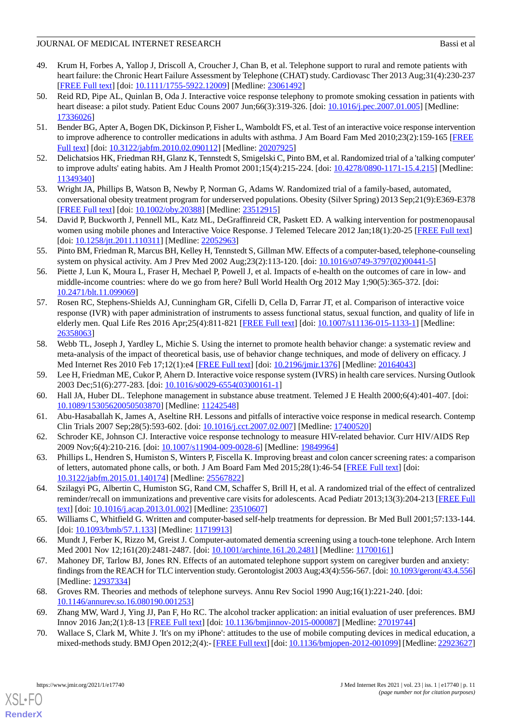- <span id="page-10-0"></span>49. Krum H, Forbes A, Yallop J, Driscoll A, Croucher J, Chan B, et al. Telephone support to rural and remote patients with heart failure: the Chronic Heart Failure Assessment by Telephone (CHAT) study. Cardiovasc Ther 2013 Aug;31(4):230-237 [[FREE Full text](https://doi.org/10.1111/1755-5922.12009)] [doi: [10.1111/1755-5922.12009\]](http://dx.doi.org/10.1111/1755-5922.12009) [Medline: [23061492](http://www.ncbi.nlm.nih.gov/entrez/query.fcgi?cmd=Retrieve&db=PubMed&list_uids=23061492&dopt=Abstract)]
- <span id="page-10-1"></span>50. Reid RD, Pipe AL, Quinlan B, Oda J. Interactive voice response telephony to promote smoking cessation in patients with heart disease: a pilot study. Patient Educ Couns 2007 Jun;66(3):319-326. [doi: [10.1016/j.pec.2007.01.005](http://dx.doi.org/10.1016/j.pec.2007.01.005)] [Medline: [17336026](http://www.ncbi.nlm.nih.gov/entrez/query.fcgi?cmd=Retrieve&db=PubMed&list_uids=17336026&dopt=Abstract)]
- <span id="page-10-2"></span>51. Bender BG, Apter A, Bogen DK, Dickinson P, Fisher L, Wamboldt FS, et al. Test of an interactive voice response intervention to improve adherence to controller medications in adults with asthma. J Am Board Fam Med 2010;23(2):159-165 [\[FREE](http://www.jabfm.org/cgi/pmidlookup?view=long&pmid=20207925) [Full text\]](http://www.jabfm.org/cgi/pmidlookup?view=long&pmid=20207925) [doi: [10.3122/jabfm.2010.02.090112](http://dx.doi.org/10.3122/jabfm.2010.02.090112)] [Medline: [20207925](http://www.ncbi.nlm.nih.gov/entrez/query.fcgi?cmd=Retrieve&db=PubMed&list_uids=20207925&dopt=Abstract)]
- <span id="page-10-4"></span><span id="page-10-3"></span>52. Delichatsios HK, Friedman RH, Glanz K, Tennstedt S, Smigelski C, Pinto BM, et al. Randomized trial of a 'talking computer' to improve adults' eating habits. Am J Health Promot 2001;15(4):215-224. [doi: [10.4278/0890-1171-15.4.215](http://dx.doi.org/10.4278/0890-1171-15.4.215)] [Medline: [11349340](http://www.ncbi.nlm.nih.gov/entrez/query.fcgi?cmd=Retrieve&db=PubMed&list_uids=11349340&dopt=Abstract)]
- <span id="page-10-5"></span>53. Wright JA, Phillips B, Watson B, Newby P, Norman G, Adams W. Randomized trial of a family-based, automated, conversational obesity treatment program for underserved populations. Obesity (Silver Spring) 2013 Sep;21(9):E369-E378 [[FREE Full text](https://doi.org/10.1002/oby.20388)] [doi: [10.1002/oby.20388\]](http://dx.doi.org/10.1002/oby.20388) [Medline: [23512915](http://www.ncbi.nlm.nih.gov/entrez/query.fcgi?cmd=Retrieve&db=PubMed&list_uids=23512915&dopt=Abstract)]
- <span id="page-10-6"></span>54. David P, Buckworth J, Pennell ML, Katz ML, DeGraffinreid CR, Paskett ED. A walking intervention for postmenopausal women using mobile phones and Interactive Voice Response. J Telemed Telecare 2012 Jan;18(1):20-25 [[FREE Full text\]](http://europepmc.org/abstract/MED/22052963) [doi: [10.1258/jtt.2011.110311](http://dx.doi.org/10.1258/jtt.2011.110311)] [Medline: [22052963](http://www.ncbi.nlm.nih.gov/entrez/query.fcgi?cmd=Retrieve&db=PubMed&list_uids=22052963&dopt=Abstract)]
- <span id="page-10-7"></span>55. Pinto BM, Friedman R, Marcus BH, Kelley H, Tennstedt S, Gillman MW. Effects of a computer-based, telephone-counseling system on physical activity. Am J Prev Med 2002 Aug;23(2):113-120. [doi: [10.1016/s0749-3797\(02\)00441-5\]](http://dx.doi.org/10.1016/s0749-3797(02)00441-5)
- <span id="page-10-8"></span>56. Piette J, Lun K, Moura L, Fraser H, Mechael P, Powell J, et al. Impacts of e-health on the outcomes of care in low- and middle-income countries: where do we go from here? Bull World Health Org 2012 May 1;90(5):365-372. [doi: [10.2471/blt.11.099069](http://dx.doi.org/10.2471/blt.11.099069)]
- <span id="page-10-9"></span>57. Rosen RC, Stephens-Shields AJ, Cunningham GR, Cifelli D, Cella D, Farrar JT, et al. Comparison of interactive voice response (IVR) with paper administration of instruments to assess functional status, sexual function, and quality of life in elderly men. Qual Life Res 2016 Apr;25(4):811-821 [\[FREE Full text](http://europepmc.org/abstract/MED/26358063)] [doi: [10.1007/s11136-015-1133-1\]](http://dx.doi.org/10.1007/s11136-015-1133-1) [Medline: [26358063](http://www.ncbi.nlm.nih.gov/entrez/query.fcgi?cmd=Retrieve&db=PubMed&list_uids=26358063&dopt=Abstract)]
- <span id="page-10-11"></span><span id="page-10-10"></span>58. Webb TL, Joseph J, Yardley L, Michie S. Using the internet to promote health behavior change: a systematic review and meta-analysis of the impact of theoretical basis, use of behavior change techniques, and mode of delivery on efficacy. J Med Internet Res 2010 Feb 17;12(1):e4 [[FREE Full text](https://www.jmir.org/2010/1/e4/)] [doi: [10.2196/jmir.1376](http://dx.doi.org/10.2196/jmir.1376)] [Medline: [20164043](http://www.ncbi.nlm.nih.gov/entrez/query.fcgi?cmd=Retrieve&db=PubMed&list_uids=20164043&dopt=Abstract)]
- <span id="page-10-12"></span>59. Lee H, Friedman ME, Cukor P, Ahern D. Interactive voice response system (IVRS) in health care services. Nursing Outlook 2003 Dec;51(6):277-283. [doi: [10.1016/s0029-6554\(03\)00161-1](http://dx.doi.org/10.1016/s0029-6554(03)00161-1)]
- <span id="page-10-13"></span>60. Hall JA, Huber DL. Telephone management in substance abuse treatment. Telemed J E Health 2000;6(4):401-407. [doi: [10.1089/15305620050503870\]](http://dx.doi.org/10.1089/15305620050503870) [Medline: [11242548\]](http://www.ncbi.nlm.nih.gov/entrez/query.fcgi?cmd=Retrieve&db=PubMed&list_uids=11242548&dopt=Abstract)
- <span id="page-10-14"></span>61. Abu-Hasaballah K, James A, Aseltine RH. Lessons and pitfalls of interactive voice response in medical research. Contemp Clin Trials 2007 Sep;28(5):593-602. [doi: [10.1016/j.cct.2007.02.007\]](http://dx.doi.org/10.1016/j.cct.2007.02.007) [Medline: [17400520\]](http://www.ncbi.nlm.nih.gov/entrez/query.fcgi?cmd=Retrieve&db=PubMed&list_uids=17400520&dopt=Abstract)
- <span id="page-10-15"></span>62. Schroder KE, Johnson CJ. Interactive voice response technology to measure HIV-related behavior. Curr HIV/AIDS Rep 2009 Nov;6(4):210-216. [doi: [10.1007/s11904-009-0028-6](http://dx.doi.org/10.1007/s11904-009-0028-6)] [Medline: [19849964\]](http://www.ncbi.nlm.nih.gov/entrez/query.fcgi?cmd=Retrieve&db=PubMed&list_uids=19849964&dopt=Abstract)
- <span id="page-10-16"></span>63. Phillips L, Hendren S, Humiston S, Winters P, Fiscella K. Improving breast and colon cancer screening rates: a comparison of letters, automated phone calls, or both. J Am Board Fam Med 2015;28(1):46-54 [[FREE Full text](http://www.jabfm.org/cgi/pmidlookup?view=long&pmid=25567822)] [doi: [10.3122/jabfm.2015.01.140174\]](http://dx.doi.org/10.3122/jabfm.2015.01.140174) [Medline: [25567822](http://www.ncbi.nlm.nih.gov/entrez/query.fcgi?cmd=Retrieve&db=PubMed&list_uids=25567822&dopt=Abstract)]
- <span id="page-10-17"></span>64. Szilagyi PG, Albertin C, Humiston SG, Rand CM, Schaffer S, Brill H, et al. A randomized trial of the effect of centralized reminder/recall on immunizations and preventive care visits for adolescents. Acad Pediatr 2013;13(3):204-213 [\[FREE Full](http://europepmc.org/abstract/MED/23510607) [text](http://europepmc.org/abstract/MED/23510607)] [doi: [10.1016/j.acap.2013.01.002\]](http://dx.doi.org/10.1016/j.acap.2013.01.002) [Medline: [23510607\]](http://www.ncbi.nlm.nih.gov/entrez/query.fcgi?cmd=Retrieve&db=PubMed&list_uids=23510607&dopt=Abstract)
- <span id="page-10-18"></span>65. Williams C, Whitfield G. Written and computer-based self-help treatments for depression. Br Med Bull 2001;57:133-144. [doi: [10.1093/bmb/57.1.133\]](http://dx.doi.org/10.1093/bmb/57.1.133) [Medline: [11719913](http://www.ncbi.nlm.nih.gov/entrez/query.fcgi?cmd=Retrieve&db=PubMed&list_uids=11719913&dopt=Abstract)]
- <span id="page-10-19"></span>66. Mundt J, Ferber K, Rizzo M, Greist J. Computer-automated dementia screening using a touch-tone telephone. Arch Intern Med 2001 Nov 12;161(20):2481-2487. [doi: [10.1001/archinte.161.20.2481](http://dx.doi.org/10.1001/archinte.161.20.2481)] [Medline: [11700161](http://www.ncbi.nlm.nih.gov/entrez/query.fcgi?cmd=Retrieve&db=PubMed&list_uids=11700161&dopt=Abstract)]
- <span id="page-10-21"></span><span id="page-10-20"></span>67. Mahoney DF, Tarlow BJ, Jones RN. Effects of an automated telephone support system on caregiver burden and anxiety: findings from the REACH for TLC intervention study. Gerontologist 2003 Aug;43(4):556-567. [doi: [10.1093/geront/43.4.556\]](http://dx.doi.org/10.1093/geront/43.4.556) [Medline: [12937334](http://www.ncbi.nlm.nih.gov/entrez/query.fcgi?cmd=Retrieve&db=PubMed&list_uids=12937334&dopt=Abstract)]
- 68. Groves RM. Theories and methods of telephone surveys. Annu Rev Sociol 1990 Aug;16(1):221-240. [doi: [10.1146/annurev.so.16.080190.001253](http://dx.doi.org/10.1146/annurev.so.16.080190.001253)]
- 69. Zhang MW, Ward J, Ying JJ, Pan F, Ho RC. The alcohol tracker application: an initial evaluation of user preferences. BMJ Innov 2016 Jan;2(1):8-13 [\[FREE Full text\]](http://europepmc.org/abstract/MED/27019744) [doi: [10.1136/bmjinnov-2015-000087](http://dx.doi.org/10.1136/bmjinnov-2015-000087)] [Medline: [27019744\]](http://www.ncbi.nlm.nih.gov/entrez/query.fcgi?cmd=Retrieve&db=PubMed&list_uids=27019744&dopt=Abstract)
- 70. Wallace S, Clark M, White J. 'It's on my iPhone': attitudes to the use of mobile computing devices in medical education, a mixed-methods study. BMJ Open 2012;2(4):- [\[FREE Full text](https://bmjopen.bmj.com/lookup/pmidlookup?view=long&pmid=22923627)] [doi: [10.1136/bmjopen-2012-001099](http://dx.doi.org/10.1136/bmjopen-2012-001099)] [Medline: [22923627](http://www.ncbi.nlm.nih.gov/entrez/query.fcgi?cmd=Retrieve&db=PubMed&list_uids=22923627&dopt=Abstract)]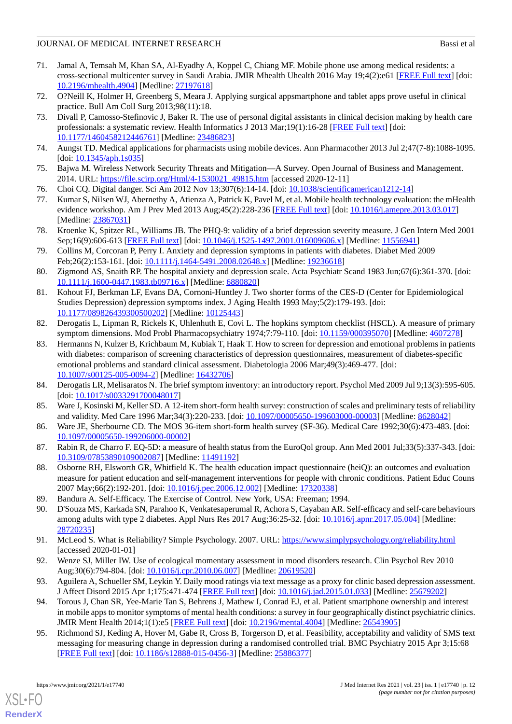- <span id="page-11-0"></span>71. Jamal A, Temsah M, Khan SA, Al-Eyadhy A, Koppel C, Chiang MF. Mobile phone use among medical residents: a cross-sectional multicenter survey in Saudi Arabia. JMIR Mhealth Uhealth 2016 May 19;4(2):e61 [\[FREE Full text\]](https://mhealth.jmir.org/2016/2/e61/) [doi: [10.2196/mhealth.4904](http://dx.doi.org/10.2196/mhealth.4904)] [Medline: [27197618](http://www.ncbi.nlm.nih.gov/entrez/query.fcgi?cmd=Retrieve&db=PubMed&list_uids=27197618&dopt=Abstract)]
- <span id="page-11-2"></span><span id="page-11-1"></span>72. O?Neill K, Holmer H, Greenberg S, Meara J. Applying surgical appsmartphone and tablet apps prove useful in clinical practice. Bull Am Coll Surg 2013;98(11):18.
- 73. Divall P, Camosso-Stefinovic J, Baker R. The use of personal digital assistants in clinical decision making by health care professionals: a systematic review. Health Informatics J 2013 Mar;19(1):16-28 [[FREE Full text](https://journals.sagepub.com/doi/10.1177/1460458212446761?url_ver=Z39.88-2003&rfr_id=ori:rid:crossref.org&rfr_dat=cr_pub%3dpubmed)] [doi: [10.1177/1460458212446761\]](http://dx.doi.org/10.1177/1460458212446761) [Medline: [23486823\]](http://www.ncbi.nlm.nih.gov/entrez/query.fcgi?cmd=Retrieve&db=PubMed&list_uids=23486823&dopt=Abstract)
- <span id="page-11-4"></span><span id="page-11-3"></span>74. Aungst TD. Medical applications for pharmacists using mobile devices. Ann Pharmacother 2013 Jul 2;47(7-8):1088-1095.  $[doi: 10.1345/aph.1s035]$  $[doi: 10.1345/aph.1s035]$  $[doi: 10.1345/aph.1s035]$
- <span id="page-11-5"></span>75. Bajwa M. Wireless Network Security Threats and Mitigation—A Survey. Open Journal of Business and Management. 2014. URL: [https://file.scirp.org/Html/4-1530021\\_49815.htm](https://file.scirp.org/Html/4-1530021_49815.htm) [accessed 2020-12-11]
- <span id="page-11-6"></span>76. Choi CQ. Digital danger. Sci Am 2012 Nov 13;307(6):14-14. [doi: [10.1038/scientificamerican1212-14\]](http://dx.doi.org/10.1038/scientificamerican1212-14)
- <span id="page-11-7"></span>77. Kumar S, Nilsen WJ, Abernethy A, Atienza A, Patrick K, Pavel M, et al. Mobile health technology evaluation: the mHealth evidence workshop. Am J Prev Med 2013 Aug;45(2):228-236 [\[FREE Full text](http://europepmc.org/abstract/MED/23867031)] [doi: [10.1016/j.amepre.2013.03.017](http://dx.doi.org/10.1016/j.amepre.2013.03.017)] [Medline: [23867031](http://www.ncbi.nlm.nih.gov/entrez/query.fcgi?cmd=Retrieve&db=PubMed&list_uids=23867031&dopt=Abstract)]
- <span id="page-11-8"></span>78. Kroenke K, Spitzer RL, Williams JB. The PHQ-9: validity of a brief depression severity measure. J Gen Intern Med 2001 Sep;16(9):606-613 [[FREE Full text](https://onlinelibrary.wiley.com/resolve/openurl?genre=article&sid=nlm:pubmed&issn=0884-8734&date=2001&volume=16&issue=9&spage=606)] [doi: [10.1046/j.1525-1497.2001.016009606.x\]](http://dx.doi.org/10.1046/j.1525-1497.2001.016009606.x) [Medline: [11556941\]](http://www.ncbi.nlm.nih.gov/entrez/query.fcgi?cmd=Retrieve&db=PubMed&list_uids=11556941&dopt=Abstract)
- <span id="page-11-9"></span>79. Collins M, Corcoran P, Perry I. Anxiety and depression symptoms in patients with diabetes. Diabet Med 2009 Feb;26(2):153-161. [doi: [10.1111/j.1464-5491.2008.02648.x\]](http://dx.doi.org/10.1111/j.1464-5491.2008.02648.x) [Medline: [19236618\]](http://www.ncbi.nlm.nih.gov/entrez/query.fcgi?cmd=Retrieve&db=PubMed&list_uids=19236618&dopt=Abstract)
- <span id="page-11-10"></span>80. Zigmond AS, Snaith RP. The hospital anxiety and depression scale. Acta Psychiatr Scand 1983 Jun;67(6):361-370. [doi: [10.1111/j.1600-0447.1983.tb09716.x\]](http://dx.doi.org/10.1111/j.1600-0447.1983.tb09716.x) [Medline: [6880820](http://www.ncbi.nlm.nih.gov/entrez/query.fcgi?cmd=Retrieve&db=PubMed&list_uids=6880820&dopt=Abstract)]
- <span id="page-11-11"></span>81. Kohout FJ, Berkman LF, Evans DA, Cornoni-Huntley J. Two shorter forms of the CES-D (Center for Epidemiological Studies Depression) depression symptoms index. J Aging Health 1993 May;5(2):179-193. [doi: [10.1177/089826439300500202\]](http://dx.doi.org/10.1177/089826439300500202) [Medline: [10125443\]](http://www.ncbi.nlm.nih.gov/entrez/query.fcgi?cmd=Retrieve&db=PubMed&list_uids=10125443&dopt=Abstract)
- <span id="page-11-12"></span>82. Derogatis L, Lipman R, Rickels K, Uhlenhuth E, Covi L. The hopkins symptom checklist (HSCL). A measure of primary symptom dimensions. Mod Probl Pharmacopsychiatry 1974;7:79-110. [doi: [10.1159/000395070](http://dx.doi.org/10.1159/000395070)] [Medline: [4607278\]](http://www.ncbi.nlm.nih.gov/entrez/query.fcgi?cmd=Retrieve&db=PubMed&list_uids=4607278&dopt=Abstract)
- <span id="page-11-13"></span>83. Hermanns N, Kulzer B, Krichbaum M, Kubiak T, Haak T. How to screen for depression and emotional problems in patients with diabetes: comparison of screening characteristics of depression questionnaires, measurement of diabetes-specific emotional problems and standard clinical assessment. Diabetologia 2006 Mar;49(3):469-477. [doi: [10.1007/s00125-005-0094-2\]](http://dx.doi.org/10.1007/s00125-005-0094-2) [Medline: [16432706](http://www.ncbi.nlm.nih.gov/entrez/query.fcgi?cmd=Retrieve&db=PubMed&list_uids=16432706&dopt=Abstract)]
- <span id="page-11-15"></span><span id="page-11-14"></span>84. Derogatis LR, Melisaratos N. The brief symptom inventory: an introductory report. Psychol Med 2009 Jul 9;13(3):595-605. [doi: [10.1017/s0033291700048017](http://dx.doi.org/10.1017/s0033291700048017)]
- <span id="page-11-16"></span>85. Ware J, Kosinski M, Keller SD. A 12-item short-form health survey: construction of scales and preliminary tests of reliability and validity. Med Care 1996 Mar;34(3):220-233. [doi: [10.1097/00005650-199603000-00003](http://dx.doi.org/10.1097/00005650-199603000-00003)] [Medline: [8628042](http://www.ncbi.nlm.nih.gov/entrez/query.fcgi?cmd=Retrieve&db=PubMed&list_uids=8628042&dopt=Abstract)]
- <span id="page-11-17"></span>86. Ware JE, Sherbourne CD. The MOS 36-item short-form health survey (SF-36). Medical Care 1992;30(6):473-483. [doi: [10.1097/00005650-199206000-00002](http://dx.doi.org/10.1097/00005650-199206000-00002)]
- <span id="page-11-18"></span>87. Rabin R, de Charro F. EQ-5D: a measure of health status from the EuroQol group. Ann Med 2001 Jul;33(5):337-343. [doi: [10.3109/07853890109002087\]](http://dx.doi.org/10.3109/07853890109002087) [Medline: [11491192\]](http://www.ncbi.nlm.nih.gov/entrez/query.fcgi?cmd=Retrieve&db=PubMed&list_uids=11491192&dopt=Abstract)
- <span id="page-11-19"></span>88. Osborne RH, Elsworth GR, Whitfield K. The health education impact questionnaire (heiQ): an outcomes and evaluation measure for patient education and self-management interventions for people with chronic conditions. Patient Educ Couns 2007 May;66(2):192-201. [doi: [10.1016/j.pec.2006.12.002](http://dx.doi.org/10.1016/j.pec.2006.12.002)] [Medline: [17320338](http://www.ncbi.nlm.nih.gov/entrez/query.fcgi?cmd=Retrieve&db=PubMed&list_uids=17320338&dopt=Abstract)]
- <span id="page-11-20"></span>89. Bandura A. Self-Efficacy. The Exercise of Control. New York, USA: Freeman; 1994.
- <span id="page-11-22"></span><span id="page-11-21"></span>90. D'Souza MS, Karkada SN, Parahoo K, Venkatesaperumal R, Achora S, Cayaban AR. Self-efficacy and self-care behaviours among adults with type 2 diabetes. Appl Nurs Res 2017 Aug;36:25-32. [doi: [10.1016/j.apnr.2017.05.004](http://dx.doi.org/10.1016/j.apnr.2017.05.004)] [Medline: [28720235](http://www.ncbi.nlm.nih.gov/entrez/query.fcgi?cmd=Retrieve&db=PubMed&list_uids=28720235&dopt=Abstract)]
- <span id="page-11-23"></span>91. McLeod S. What is Reliability? Simple Psychology. 2007. URL:<https://www.simplypsychology.org/reliability.html> [accessed 2020-01-01]
- <span id="page-11-24"></span>92. Wenze SJ, Miller IW. Use of ecological momentary assessment in mood disorders research. Clin Psychol Rev 2010 Aug;30(6):794-804. [doi: [10.1016/j.cpr.2010.06.007\]](http://dx.doi.org/10.1016/j.cpr.2010.06.007) [Medline: [20619520\]](http://www.ncbi.nlm.nih.gov/entrez/query.fcgi?cmd=Retrieve&db=PubMed&list_uids=20619520&dopt=Abstract)
- 93. Aguilera A, Schueller SM, Leykin Y. Daily mood ratings via text message as a proxy for clinic based depression assessment. J Affect Disord 2015 Apr 1;175:471-474 [[FREE Full text](http://europepmc.org/abstract/MED/25679202)] [doi: [10.1016/j.jad.2015.01.033\]](http://dx.doi.org/10.1016/j.jad.2015.01.033) [Medline: [25679202](http://www.ncbi.nlm.nih.gov/entrez/query.fcgi?cmd=Retrieve&db=PubMed&list_uids=25679202&dopt=Abstract)]
- 94. Torous J, Chan SR, Yee-Marie Tan S, Behrens J, Mathew I, Conrad EJ, et al. Patient smartphone ownership and interest in mobile apps to monitor symptoms of mental health conditions: a survey in four geographically distinct psychiatric clinics. JMIR Ment Health 2014;1(1):e5 [\[FREE Full text](https://mental.jmir.org/2014/1/e5/)] [doi: [10.2196/mental.4004\]](http://dx.doi.org/10.2196/mental.4004) [Medline: [26543905](http://www.ncbi.nlm.nih.gov/entrez/query.fcgi?cmd=Retrieve&db=PubMed&list_uids=26543905&dopt=Abstract)]
- 95. Richmond SJ, Keding A, Hover M, Gabe R, Cross B, Torgerson D, et al. Feasibility, acceptability and validity of SMS text messaging for measuring change in depression during a randomised controlled trial. BMC Psychiatry 2015 Apr 3;15:68 [[FREE Full text](https://bmcpsychiatry.biomedcentral.com/articles/10.1186/s12888-015-0456-3)] [doi: [10.1186/s12888-015-0456-3\]](http://dx.doi.org/10.1186/s12888-015-0456-3) [Medline: [25886377](http://www.ncbi.nlm.nih.gov/entrez/query.fcgi?cmd=Retrieve&db=PubMed&list_uids=25886377&dopt=Abstract)]